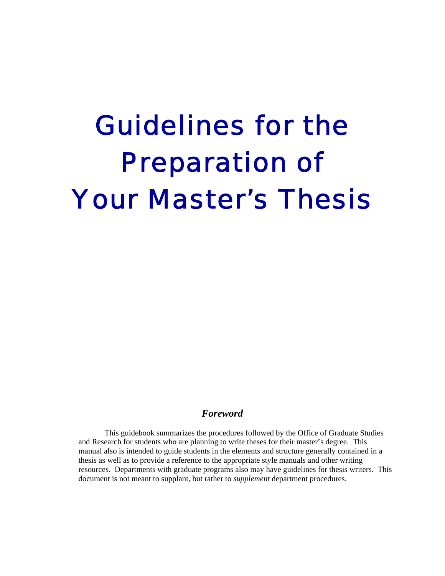# Guidelines for the Preparation of Your Master's Thesis

#### *Foreword*

This guidebook summarizes the procedures followed by the Office of Graduate Studies and Research for students who are planning to write theses for their master's degree. This manual also is intended to guide students in the elements and structure generally contained in a thesis as well as to provide a reference to the appropriate style manuals and other writing resources. Departments with graduate programs also may have guidelines for thesis writers. This document is not meant to supplant, but rather to *supplement* department procedures.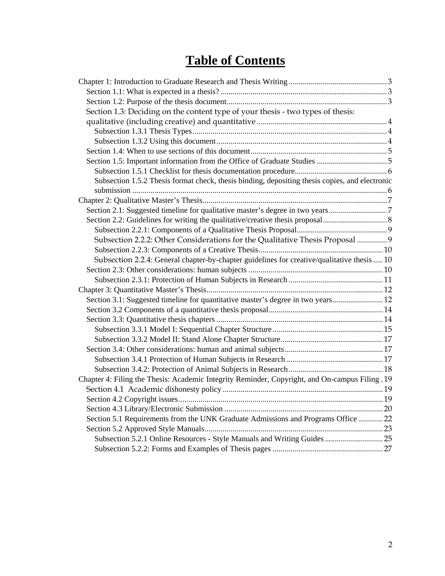## **Table of Contents**

| Section 1.3: Deciding on the content type of your thesis - two types of thesis:                |  |
|------------------------------------------------------------------------------------------------|--|
|                                                                                                |  |
|                                                                                                |  |
|                                                                                                |  |
|                                                                                                |  |
|                                                                                                |  |
|                                                                                                |  |
| Subsection 1.5.2 Thesis format check, thesis binding, depositing thesis copies, and electronic |  |
|                                                                                                |  |
| Section 2.1: Suggested timeline for qualitative master's degree in two years7                  |  |
|                                                                                                |  |
|                                                                                                |  |
| Subsection 2.2.2: Other Considerations for the Qualitative Thesis Proposal  9                  |  |
|                                                                                                |  |
| Subsection 2.2.4: General chapter-by-chapter guidelines for creative/qualitative thesis  10    |  |
|                                                                                                |  |
|                                                                                                |  |
|                                                                                                |  |
| Section 3.1: Suggested timeline for quantitative master's degree in two years 12               |  |
|                                                                                                |  |
|                                                                                                |  |
|                                                                                                |  |
|                                                                                                |  |
|                                                                                                |  |
|                                                                                                |  |
|                                                                                                |  |
| Chapter 4: Filing the Thesis: Academic Integrity Reminder, Copyright, and On-campus Filing .19 |  |
|                                                                                                |  |
|                                                                                                |  |
|                                                                                                |  |
| Section 5.1 Requirements from the UNK Graduate Admissions and Programs Office  22              |  |
|                                                                                                |  |
| Subsection 5.2.1 Online Resources - Style Manuals and Writing Guides 25                        |  |
|                                                                                                |  |
|                                                                                                |  |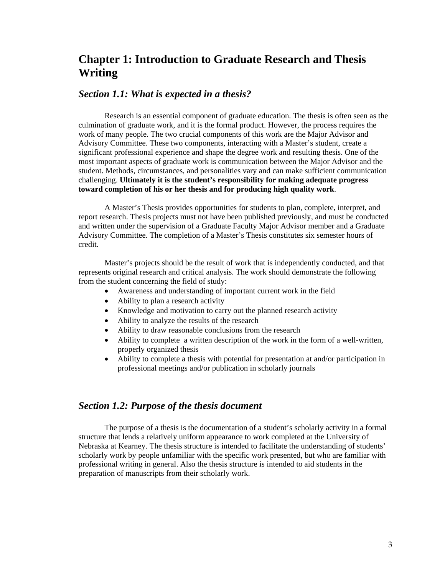## **Chapter 1: Introduction to Graduate Research and Thesis Writing**

#### *Section 1.1: What is expected in a thesis?*

Research is an essential component of graduate education. The thesis is often seen as the culmination of graduate work, and it is the formal product. However, the process requires the work of many people. The two crucial components of this work are the Major Advisor and Advisory Committee. These two components, interacting with a Master's student, create a significant professional experience and shape the degree work and resulting thesis. One of the most important aspects of graduate work is communication between the Major Advisor and the student. Methods, circumstances, and personalities vary and can make sufficient communication challenging. **Ultimately it is the student's responsibility for making adequate progress toward completion of his or her thesis and for producing high quality work**.

A Master's Thesis provides opportunities for students to plan, complete, interpret, and report research. Thesis projects must not have been published previously, and must be conducted and written under the supervision of a Graduate Faculty Major Advisor member and a Graduate Advisory Committee. The completion of a Master's Thesis constitutes six semester hours of credit.

Master's projects should be the result of work that is independently conducted, and that represents original research and critical analysis. The work should demonstrate the following from the student concerning the field of study:

- Awareness and understanding of important current work in the field
- Ability to plan a research activity
- Knowledge and motivation to carry out the planned research activity
- Ability to analyze the results of the research
- Ability to draw reasonable conclusions from the research
- Ability to complete a written description of the work in the form of a well-written, properly organized thesis
- Ability to complete a thesis with potential for presentation at and/or participation in professional meetings and/or publication in scholarly journals

#### *Section 1.2: Purpose of the thesis document*

The purpose of a thesis is the documentation of a student's scholarly activity in a formal structure that lends a relatively uniform appearance to work completed at the University of Nebraska at Kearney. The thesis structure is intended to facilitate the understanding of students' scholarly work by people unfamiliar with the specific work presented, but who are familiar with professional writing in general. Also the thesis structure is intended to aid students in the preparation of manuscripts from their scholarly work.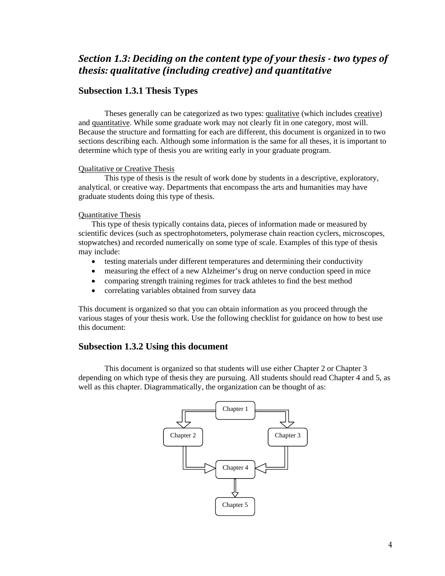## *Section 1.3: Deciding on the content type of your thesis two types of thesis: qualitative (including creative) and quantitative*

#### **Subsection 1.3.1 Thesis Types**

Theses generally can be categorized as two types: qualitative (which includes creative) and quantitative. While some graduate work may not clearly fit in one category, most will. Because the structure and formatting for each are different, this document is organized in to two sections describing each. Although some information is the same for all theses, it is important to determine which type of thesis you are writing early in your graduate program.

#### Qualitative or Creative Thesis

This type of thesis is the result of work done by students in a descriptive, exploratory, analytical, or creative way. Departments that encompass the arts and humanities may have graduate students doing this type of thesis.

#### Quantitative Thesis

This type of thesis typically contains data, pieces of information made or measured by scientific devices (such as spectrophotometers, polymerase chain reaction cyclers, microscopes, stopwatches) and recorded numerically on some type of scale. Examples of this type of thesis may include:

- testing materials under different temperatures and determining their conductivity
- measuring the effect of a new Alzheimer's drug on nerve conduction speed in mice
- comparing strength training regimes for track athletes to find the best method
- correlating variables obtained from survey data

This document is organized so that you can obtain information as you proceed through the various stages of your thesis work. Use the following checklist for guidance on how to best use this document:

#### **Subsection 1.3.2 Using this document**

This document is organized so that students will use either Chapter 2 or Chapter 3 depending on which type of thesis they are pursuing. All students should read Chapter 4 and 5, as well as this chapter. Diagrammatically, the organization can be thought of as:

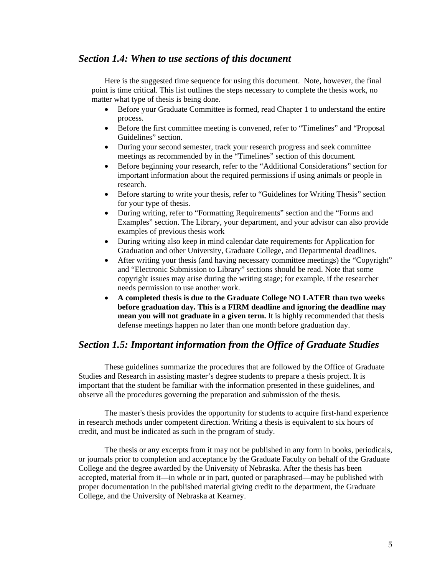#### *Section 1.4: When to use sections of this document*

Here is the suggested time sequence for using this document. Note, however, the final point is time critical. This list outlines the steps necessary to complete the thesis work, no matter what type of thesis is being done.

- Before your Graduate Committee is formed, read Chapter 1 to understand the entire process.
- Before the first committee meeting is convened, refer to "Timelines" and "Proposal Guidelines" section.
- During your second semester, track your research progress and seek committee meetings as recommended by in the "Timelines" section of this document.
- Before beginning your research, refer to the "Additional Considerations" section for important information about the required permissions if using animals or people in research.
- Before starting to write your thesis, refer to "Guidelines for Writing Thesis" section for your type of thesis.
- During writing, refer to "Formatting Requirements" section and the "Forms and Examples" section. The Library, your department, and your advisor can also provide examples of previous thesis work
- During writing also keep in mind calendar date requirements for Application for Graduation and other University, Graduate College, and Departmental deadlines.
- After writing your thesis (and having necessary committee meetings) the "Copyright" and "Electronic Submission to Library" sections should be read. Note that some copyright issues may arise during the writing stage; for example, if the researcher needs permission to use another work.
- **A completed thesis is due to the Graduate College NO LATER than two weeks before graduation day. This is a FIRM deadline and ignoring the deadline may mean you will not graduate in a given term.** It is highly recommended that thesis defense meetings happen no later than one month before graduation day.

## *Section 1.5: Important information from the Office of Graduate Studies*

These guidelines summarize the procedures that are followed by the Office of Graduate Studies and Research in assisting master's degree students to prepare a thesis project. It is important that the student be familiar with the information presented in these guidelines, and observe all the procedures governing the preparation and submission of the thesis.

The master's thesis provides the opportunity for students to acquire first-hand experience in research methods under competent direction. Writing a thesis is equivalent to six hours of credit, and must be indicated as such in the program of study.

The thesis or any excerpts from it may not be published in any form in books, periodicals, or journals prior to completion and acceptance by the Graduate Faculty on behalf of the Graduate College and the degree awarded by the University of Nebraska. After the thesis has been accepted, material from it—in whole or in part, quoted or paraphrased—may be published with proper documentation in the published material giving credit to the department, the Graduate College, and the University of Nebraska at Kearney.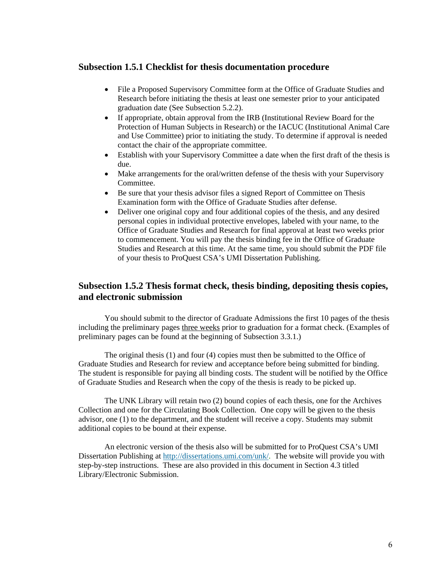#### **Subsection 1.5.1 Checklist for thesis documentation procedure**

- File a Proposed Supervisory Committee form at the Office of Graduate Studies and Research before initiating the thesis at least one semester prior to your anticipated graduation date (See Subsection 5.2.2).
- If appropriate, obtain approval from the IRB (Institutional Review Board for the Protection of Human Subjects in Research) or the IACUC (Institutional Animal Care and Use Committee) prior to initiating the study. To determine if approval is needed contact the chair of the appropriate committee.
- Establish with your Supervisory Committee a date when the first draft of the thesis is due.
- Make arrangements for the oral/written defense of the thesis with your Supervisory Committee.
- Be sure that your thesis advisor files a signed Report of Committee on Thesis Examination form with the Office of Graduate Studies after defense.
- Deliver one original copy and four additional copies of the thesis, and any desired personal copies in individual protective envelopes, labeled with your name, to the Office of Graduate Studies and Research for final approval at least two weeks prior to commencement. You will pay the thesis binding fee in the Office of Graduate Studies and Research at this time. At the same time, you should submit the PDF file of your thesis to ProQuest CSA's UMI Dissertation Publishing.

#### **Subsection 1.5.2 Thesis format check, thesis binding, depositing thesis copies, and electronic submission**

You should submit to the director of Graduate Admissions the first 10 pages of the thesis including the preliminary pages three weeks prior to graduation for a format check. (Examples of preliminary pages can be found at the beginning of Subsection 3.3.1.)

The original thesis (1) and four (4) copies must then be submitted to the Office of Graduate Studies and Research for review and acceptance before being submitted for binding. The student is responsible for paying all binding costs. The student will be notified by the Office of Graduate Studies and Research when the copy of the thesis is ready to be picked up.

The UNK Library will retain two (2) bound copies of each thesis, one for the Archives Collection and one for the Circulating Book Collection. One copy will be given to the thesis advisor, one (1) to the department, and the student will receive a copy. Students may submit additional copies to be bound at their expense.

An electronic version of the thesis also will be submitted for to ProQuest CSA's UMI Dissertation Publishing at http://dissertations.umi.com/unk/. The website will provide you with step-by-step instructions. These are also provided in this document in Section 4.3 titled Library/Electronic Submission.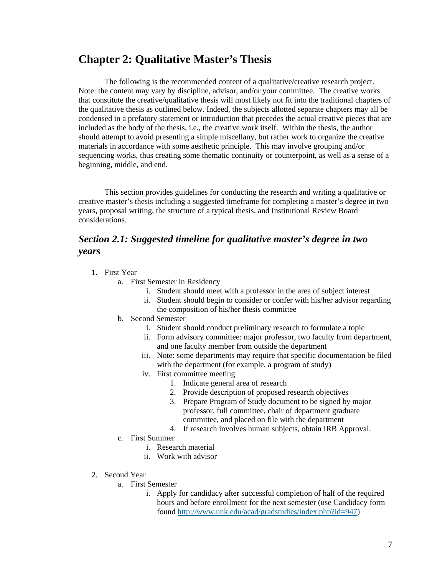## **Chapter 2: Qualitative Master's Thesis**

The following is the recommended content of a qualitative/creative research project. Note: the content may vary by discipline, advisor, and/or your committee. The creative works that constitute the creative/qualitative thesis will most likely not fit into the traditional chapters of the qualitative thesis as outlined below. Indeed, the subjects allotted separate chapters may all be condensed in a prefatory statement or introduction that precedes the actual creative pieces that are included as the body of the thesis, i.e., the creative work itself. Within the thesis, the author should attempt to avoid presenting a simple miscellany, but rather work to organize the creative materials in accordance with some aesthetic principle. This may involve grouping and/or sequencing works, thus creating some thematic continuity or counterpoint, as well as a sense of a beginning, middle, and end.

This section provides guidelines for conducting the research and writing a qualitative or creative master's thesis including a suggested timeframe for completing a master's degree in two years, proposal writing, the structure of a typical thesis, and Institutional Review Board considerations.

## *Section 2.1: Suggested timeline for qualitative master's degree in two years*

- 1. First Year
	- a. First Semester in Residency
		- i. Student should meet with a professor in the area of subject interest
		- ii. Student should begin to consider or confer with his/her advisor regarding the composition of his/her thesis committee
	- b. Second Semester
		- i. Student should conduct preliminary research to formulate a topic
		- ii. Form advisory committee: major professor, two faculty from department, and one faculty member from outside the department
		- iii. Note: some departments may require that specific documentation be filed with the department (for example, a program of study)
		- iv. First committee meeting
			- 1. Indicate general area of research
			- 2. Provide description of proposed research objectives
			- 3. Prepare Program of Study document to be signed by major professor, full committee, chair of department graduate committee, and placed on file with the department
			- 4. If research involves human subjects, obtain IRB Approval.
	- c. First Summer
		- i. Research material
		- ii. Work with advisor
- 2. Second Year
	- a. First Semester
		- i. Apply for candidacy after successful completion of half of the required hours and before enrollment for the next semester (use Candidacy form found http://www.unk.edu/acad/gradstudies/index.php?id=947)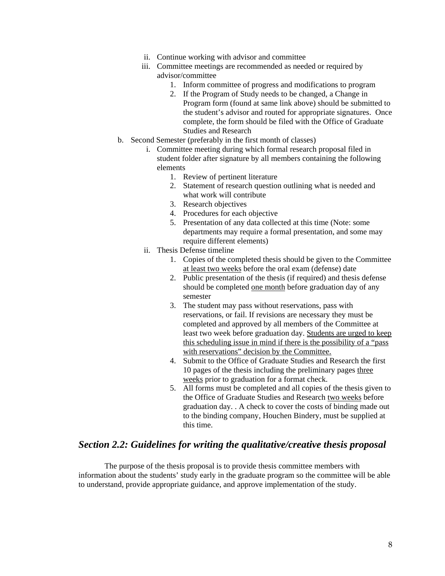- ii. Continue working with advisor and committee
- iii. Committee meetings are recommended as needed or required by advisor/committee
	- 1. Inform committee of progress and modifications to program
	- 2. If the Program of Study needs to be changed, a Change in Program form (found at same link above) should be submitted to the student's advisor and routed for appropriate signatures. Once complete, the form should be filed with the Office of Graduate Studies and Research
- b. Second Semester (preferably in the first month of classes)
	- i. Committee meeting during which formal research proposal filed in student folder after signature by all members containing the following elements
		- 1. Review of pertinent literature
		- 2. Statement of research question outlining what is needed and what work will contribute
		- 3. Research objectives
		- 4. Procedures for each objective
		- 5. Presentation of any data collected at this time (Note: some departments may require a formal presentation, and some may require different elements)
	- ii. Thesis Defense timeline
		- 1. Copies of the completed thesis should be given to the Committee at least two weeks before the oral exam (defense) date
		- 2. Public presentation of the thesis (if required) and thesis defense should be completed one month before graduation day of any semester
		- 3. The student may pass without reservations, pass with reservations, or fail. If revisions are necessary they must be completed and approved by all members of the Committee at least two week before graduation day. Students are urged to keep this scheduling issue in mind if there is the possibility of a "pass with reservations" decision by the Committee.
		- 4. Submit to the Office of Graduate Studies and Research the first 10 pages of the thesis including the preliminary pages three weeks prior to graduation for a format check.
		- 5. All forms must be completed and all copies of the thesis given to the Office of Graduate Studies and Research two weeks before graduation day. . A check to cover the costs of binding made out to the binding company, Houchen Bindery, must be supplied at this time.

#### *Section 2.2: Guidelines for writing the qualitative/creative thesis proposal*

The purpose of the thesis proposal is to provide thesis committee members with information about the students' study early in the graduate program so the committee will be able to understand, provide appropriate guidance, and approve implementation of the study.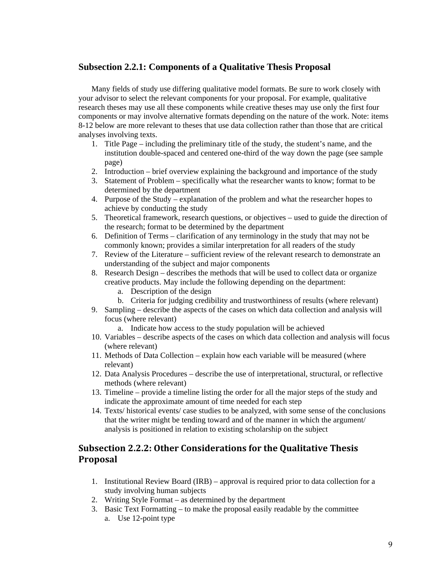#### **Subsection 2.2.1: Components of a Qualitative Thesis Proposal**

Many fields of study use differing qualitative model formats. Be sure to work closely with your advisor to select the relevant components for your proposal. For example, qualitative research theses may use all these components while creative theses may use only the first four components or may involve alternative formats depending on the nature of the work. Note: items 8-12 below are more relevant to theses that use data collection rather than those that are critical analyses involving texts.

- 1. Title Page including the preliminary title of the study, the student's name, and the institution double-spaced and centered one-third of the way down the page (see sample page)
- 2. Introduction brief overview explaining the background and importance of the study
- 3. Statement of Problem specifically what the researcher wants to know; format to be determined by the department
- 4. Purpose of the Study explanation of the problem and what the researcher hopes to achieve by conducting the study
- 5. Theoretical framework, research questions, or objectives used to guide the direction of the research; format to be determined by the department
- 6. Definition of Terms clarification of any terminology in the study that may not be commonly known; provides a similar interpretation for all readers of the study
- 7. Review of the Literature sufficient review of the relevant research to demonstrate an understanding of the subject and major components
- 8. Research Design describes the methods that will be used to collect data or organize creative products. May include the following depending on the department:
	- a. Description of the design
	- b. Criteria for judging credibility and trustworthiness of results (where relevant)
- 9. Sampling describe the aspects of the cases on which data collection and analysis will focus (where relevant)
	- a. Indicate how access to the study population will be achieved
- 10. Variables describe aspects of the cases on which data collection and analysis will focus (where relevant)
- 11. Methods of Data Collection explain how each variable will be measured (where relevant)
- 12. Data Analysis Procedures describe the use of interpretational, structural, or reflective methods (where relevant)
- 13. Timeline provide a timeline listing the order for all the major steps of the study and indicate the approximate amount of time needed for each step
- 14. Texts/ historical events/ case studies to be analyzed, with some sense of the conclusions that the writer might be tending toward and of the manner in which the argument/ analysis is positioned in relation to existing scholarship on the subject

## **Subsection 2.2.2: Other Considerations for the Qualitative Thesis Proposal**

- 1. Institutional Review Board (IRB) approval is required prior to data collection for a study involving human subjects
- 2. Writing Style Format as determined by the department
- 3. Basic Text Formatting to make the proposal easily readable by the committee a. Use 12-point type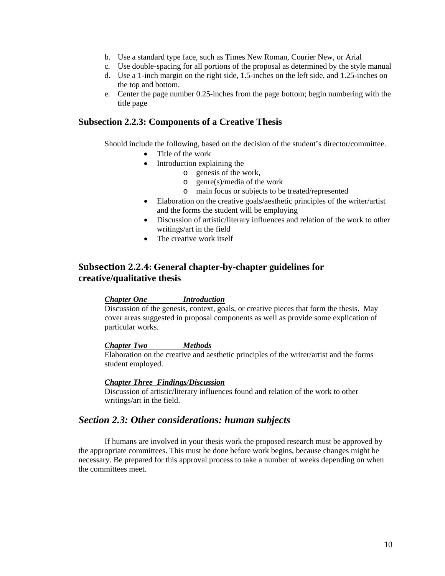- b. Use a standard type face, such as Times New Roman, Courier New, or Arial
- c. Use double-spacing for all portions of the proposal as determined by the style manual
- d. Use a 1-inch margin on the right side, 1.5-inches on the left side, and 1.25-inches on the top and bottom.
- e. Center the page number 0.25-inches from the page bottom; begin numbering with the title page

#### **Subsection 2.2.3: Components of a Creative Thesis**

Should include the following, based on the decision of the student's director/committee.

- Title of the work
- Introduction explaining the
	- o genesis of the work,
	- o genre(s)/media of the work
	- o main focus or subjects to be treated/represented
- Elaboration on the creative goals/aesthetic principles of the writer/artist and the forms the student will be employing
- Discussion of artistic/literary influences and relation of the work to other writings/art in the field
- The creative work itself

## **Subsection 2.2.4: General chapter-by-chapter guidelines for creative/qualitative thesis**

#### *Chapter One Introduction*

Discussion of the genesis, context, goals, or creative pieces that form the thesis. May cover areas suggested in proposal components as well as provide some explication of particular works.

#### *Chapter Two Methods*

Elaboration on the creative and aesthetic principles of the writer/artist and the forms student employed.

#### *Chapter Three Findings/Discussion*

Discussion of artistic/literary influences found and relation of the work to other writings/art in the field.

#### *Section 2.3: Other considerations: human subjects*

If humans are involved in your thesis work the proposed research must be approved by the appropriate committees. This must be done before work begins, because changes might be necessary. Be prepared for this approval process to take a number of weeks depending on when the committees meet.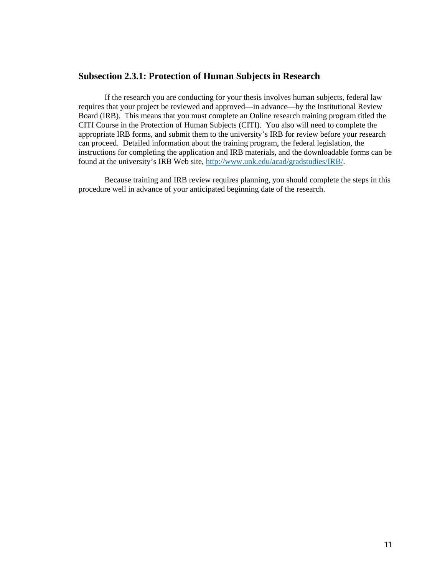## **Subsection 2.3.1: Protection of Human Subjects in Research**

If the research you are conducting for your thesis involves human subjects, federal law requires that your project be reviewed and approved—in advance—by the Institutional Review Board (IRB). This means that you must complete an Online research training program titled the CITI Course in the Protection of Human Subjects (CITI). You also will need to complete the appropriate IRB forms, and submit them to the university's IRB for review before your research can proceed. Detailed information about the training program, the federal legislation, the instructions for completing the application and IRB materials, and the downloadable forms can be found at the university's IRB Web site, http://www.unk.edu/acad/gradstudies/IRB/.

 Because training and IRB review requires planning, you should complete the steps in this procedure well in advance of your anticipated beginning date of the research.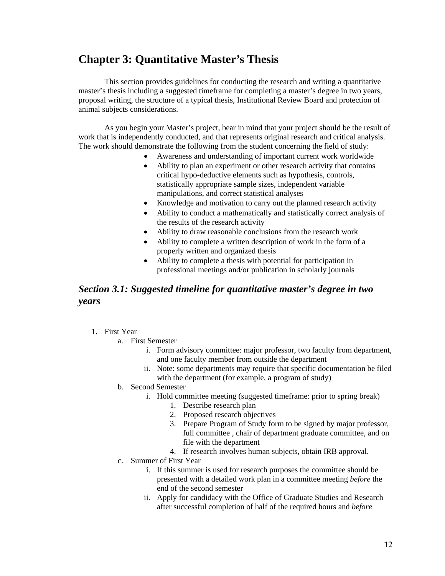## **Chapter 3: Quantitative Master's Thesis**

 This section provides guidelines for conducting the research and writing a quantitative master's thesis including a suggested timeframe for completing a master's degree in two years, proposal writing, the structure of a typical thesis, Institutional Review Board and protection of animal subjects considerations.

As you begin your Master's project, bear in mind that your project should be the result of work that is independently conducted, and that represents original research and critical analysis. The work should demonstrate the following from the student concerning the field of study:

- Awareness and understanding of important current work worldwide
- Ability to plan an experiment or other research activity that contains critical hypo-deductive elements such as hypothesis, controls, statistically appropriate sample sizes, independent variable manipulations, and correct statistical analyses
- Knowledge and motivation to carry out the planned research activity
- Ability to conduct a mathematically and statistically correct analysis of the results of the research activity
- Ability to draw reasonable conclusions from the research work
- Ability to complete a written description of work in the form of a properly written and organized thesis
- Ability to complete a thesis with potential for participation in professional meetings and/or publication in scholarly journals

## *Section 3.1: Suggested timeline for quantitative master's degree in two years*

- 1. First Year
	- a. First Semester
		- i. Form advisory committee: major professor, two faculty from department, and one faculty member from outside the department
		- ii. Note: some departments may require that specific documentation be filed with the department (for example, a program of study)
	- b. Second Semester
		- i. Hold committee meeting (suggested timeframe: prior to spring break)
			- 1. Describe research plan
			- 2. Proposed research objectives
			- 3. Prepare Program of Study form to be signed by major professor, full committee , chair of department graduate committee, and on file with the department
			- 4. If research involves human subjects, obtain IRB approval.
	- c. Summer of First Year
		- i. If this summer is used for research purposes the committee should be presented with a detailed work plan in a committee meeting *before* the end of the second semester
		- ii. Apply for candidacy with the Office of Graduate Studies and Research after successful completion of half of the required hours and *before*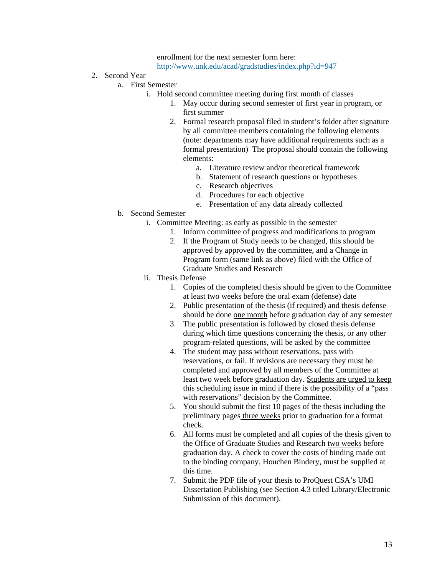enrollment for the next semester form here: http://www.unk.edu/acad/gradstudies/index.php?id=947

- 2. Second Year
	- a. First Semester
		- i. Hold second committee meeting during first month of classes
			- 1. May occur during second semester of first year in program, or first summer
			- 2. Formal research proposal filed in student's folder after signature by all committee members containing the following elements (note: departments may have additional requirements such as a formal presentation) The proposal should contain the following elements:
				- a. Literature review and/or theoretical framework
				- b. Statement of research questions or hypotheses
				- c. Research objectives
				- d. Procedures for each objective
				- e. Presentation of any data already collected
	- b. Second Semester
		- i. Committee Meeting: as early as possible in the semester
			- 1. Inform committee of progress and modifications to program
			- 2. If the Program of Study needs to be changed, this should be approved by approved by the committee, and a Change in Program form (same link as above) filed with the Office of Graduate Studies and Research
		- ii. Thesis Defense
			- 1. Copies of the completed thesis should be given to the Committee at least two weeks before the oral exam (defense) date
			- 2. Public presentation of the thesis (if required) and thesis defense should be done one month before graduation day of any semester
			- 3. The public presentation is followed by closed thesis defense during which time questions concerning the thesis, or any other program-related questions, will be asked by the committee
			- 4. The student may pass without reservations, pass with reservations, or fail. If revisions are necessary they must be completed and approved by all members of the Committee at least two week before graduation day. Students are urged to keep this scheduling issue in mind if there is the possibility of a "pass with reservations" decision by the Committee.
			- 5. You should submit the first 10 pages of the thesis including the preliminary pages three weeks prior to graduation for a format check.
			- 6. All forms must be completed and all copies of the thesis given to the Office of Graduate Studies and Research two weeks before graduation day. A check to cover the costs of binding made out to the binding company, Houchen Bindery, must be supplied at this time.
			- 7. Submit the PDF file of your thesis to ProQuest CSA's UMI Dissertation Publishing (see Section 4.3 titled Library/Electronic Submission of this document).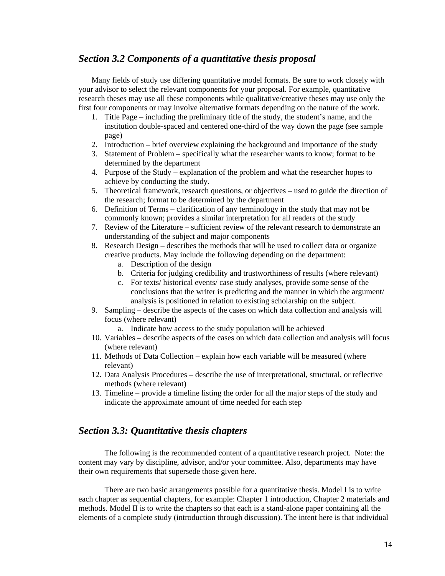## *Section 3.2 Components of a quantitative thesis proposal*

Many fields of study use differing quantitative model formats. Be sure to work closely with your advisor to select the relevant components for your proposal. For example, quantitative research theses may use all these components while qualitative/creative theses may use only the first four components or may involve alternative formats depending on the nature of the work.

- 1. Title Page including the preliminary title of the study, the student's name, and the institution double-spaced and centered one-third of the way down the page (see sample page)
- 2. Introduction brief overview explaining the background and importance of the study
- 3. Statement of Problem specifically what the researcher wants to know; format to be determined by the department
- 4. Purpose of the Study explanation of the problem and what the researcher hopes to achieve by conducting the study.
- 5. Theoretical framework, research questions, or objectives used to guide the direction of the research; format to be determined by the department
- 6. Definition of Terms clarification of any terminology in the study that may not be commonly known; provides a similar interpretation for all readers of the study
- 7. Review of the Literature sufficient review of the relevant research to demonstrate an understanding of the subject and major components
- 8. Research Design describes the methods that will be used to collect data or organize creative products. May include the following depending on the department:
	- a. Description of the design
	- b. Criteria for judging credibility and trustworthiness of results (where relevant)
	- c. For texts/ historical events/ case study analyses, provide some sense of the conclusions that the writer is predicting and the manner in which the argument/ analysis is positioned in relation to existing scholarship on the subject.
- 9. Sampling describe the aspects of the cases on which data collection and analysis will focus (where relevant)
	- a. Indicate how access to the study population will be achieved
- 10. Variables describe aspects of the cases on which data collection and analysis will focus (where relevant)
- 11. Methods of Data Collection explain how each variable will be measured (where relevant)
- 12. Data Analysis Procedures describe the use of interpretational, structural, or reflective methods (where relevant)
- 13. Timeline provide a timeline listing the order for all the major steps of the study and indicate the approximate amount of time needed for each step

#### *Section 3.3: Quantitative thesis chapters*

The following is the recommended content of a quantitative research project. Note: the content may vary by discipline, advisor, and/or your committee. Also, departments may have their own requirements that supersede those given here.

There are two basic arrangements possible for a quantitative thesis. Model I is to write each chapter as sequential chapters, for example: Chapter 1 introduction, Chapter 2 materials and methods. Model II is to write the chapters so that each is a stand-alone paper containing all the elements of a complete study (introduction through discussion). The intent here is that individual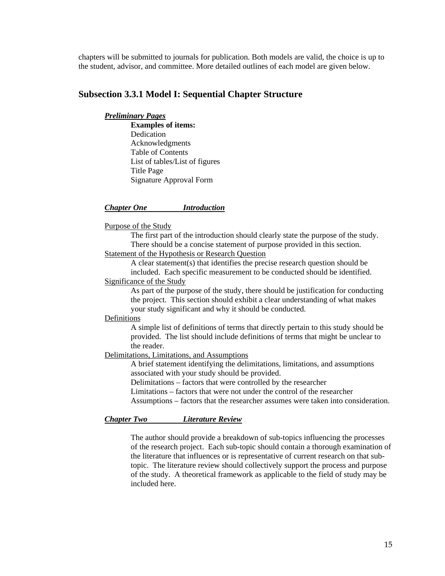chapters will be submitted to journals for publication. Both models are valid, the choice is up to the student, advisor, and committee. More detailed outlines of each model are given below.

#### **Subsection 3.3.1 Model I: Sequential Chapter Structure**

#### *Preliminary Pages*

 **Examples of items:**  Dedication Acknowledgments Table of Contents List of tables/List of figures Title Page Signature Approval Form

#### *Chapter One Introduction*

#### Purpose of the Study

 The first part of the introduction should clearly state the purpose of the study. There should be a concise statement of purpose provided in this section. Statement of the Hypothesis or Research Question

 A clear statement(s) that identifies the precise research question should be included. Each specific measurement to be conducted should be identified.

#### Significance of the Study

 As part of the purpose of the study, there should be justification for conducting the project. This section should exhibit a clear understanding of what makes your study significant and why it should be conducted.

#### Definitions

 A simple list of definitions of terms that directly pertain to this study should be provided. The list should include definitions of terms that might be unclear to the reader.

#### Delimitations, Limitations, and Assumptions

 A brief statement identifying the delimitations, limitations, and assumptions associated with your study should be provided.

Delimitations – factors that were controlled by the researcher

Limitations – factors that were not under the control of the researcher

Assumptions – factors that the researcher assumes were taken into consideration.

#### *Chapter Two Literature Review*

The author should provide a breakdown of sub-topics influencing the processes of the research project. Each sub-topic should contain a thorough examination of the literature that influences or is representative of current research on that subtopic. The literature review should collectively support the process and purpose of the study. A theoretical framework as applicable to the field of study may be included here.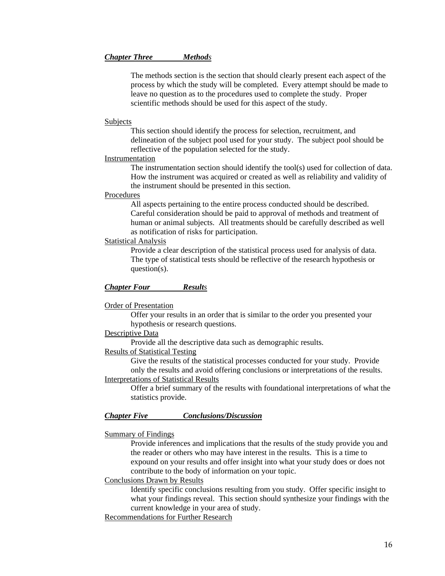#### *Chapter Three Methods*

The methods section is the section that should clearly present each aspect of the process by which the study will be completed. Every attempt should be made to leave no question as to the procedures used to complete the study. Proper scientific methods should be used for this aspect of the study.

#### Subjects

This section should identify the process for selection, recruitment, and delineation of the subject pool used for your study. The subject pool should be reflective of the population selected for the study.

#### Instrumentation

 The instrumentation section should identify the tool(s) used for collection of data. How the instrument was acquired or created as well as reliability and validity of the instrument should be presented in this section.

#### Procedures

 All aspects pertaining to the entire process conducted should be described. Careful consideration should be paid to approval of methods and treatment of human or animal subjects. All treatments should be carefully described as well as notification of risks for participation.

#### Statistical Analysis

Provide a clear description of the statistical process used for analysis of data. The type of statistical tests should be reflective of the research hypothesis or question(s).

#### *Chapter Four Results*

#### Order of Presentation

 Offer your results in an order that is similar to the order you presented your hypothesis or research questions.

#### Descriptive Data

Provide all the descriptive data such as demographic results.

#### Results of Statistical Testing

Give the results of the statistical processes conducted for your study. Provide only the results and avoid offering conclusions or interpretations of the results.

#### Interpretations of Statistical Results

 Offer a brief summary of the results with foundational interpretations of what the statistics provide.

#### *Chapter Five Conclusions/Discussion*

#### Summary of Findings

 Provide inferences and implications that the results of the study provide you and the reader or others who may have interest in the results. This is a time to expound on your results and offer insight into what your study does or does not contribute to the body of information on your topic.

#### Conclusions Drawn by Results

 Identify specific conclusions resulting from you study. Offer specific insight to what your findings reveal. This section should synthesize your findings with the current knowledge in your area of study.

#### Recommendations for Further Research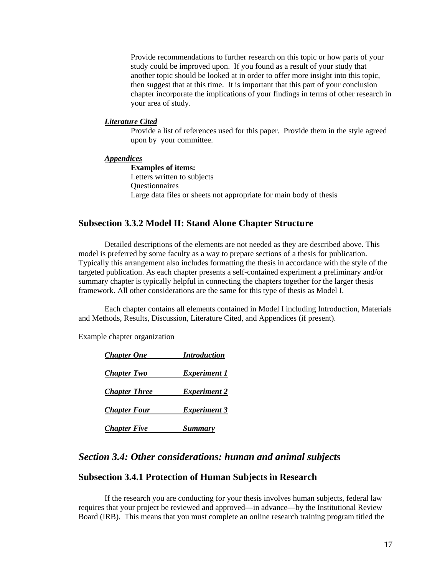Provide recommendations to further research on this topic or how parts of your study could be improved upon. If you found as a result of your study that another topic should be looked at in order to offer more insight into this topic, then suggest that at this time. It is important that this part of your conclusion chapter incorporate the implications of your findings in terms of other research in your area of study.

#### *Literature Cited*

 Provide a list of references used for this paper. Provide them in the style agreed upon by your committee.

#### *Appendices*

 **Examples of items:** Letters written to subjects **Ouestionnaires** Large data files or sheets not appropriate for main body of thesis

#### **Subsection 3.3.2 Model II: Stand Alone Chapter Structure**

Detailed descriptions of the elements are not needed as they are described above. This model is preferred by some faculty as a way to prepare sections of a thesis for publication. Typically this arrangement also includes formatting the thesis in accordance with the style of the targeted publication. As each chapter presents a self-contained experiment a preliminary and/or summary chapter is typically helpful in connecting the chapters together for the larger thesis framework. All other considerations are the same for this type of thesis as Model I.

Each chapter contains all elements contained in Model I including Introduction, Materials and Methods, Results, Discussion, Literature Cited, and Appendices (if present).

Example chapter organization

| <b>Chapter One</b>   | <b>Introduction</b> |
|----------------------|---------------------|
| <b>Chapter Two</b>   | <b>Experiment 1</b> |
| <b>Chapter Three</b> | <b>Experiment 2</b> |
| <b>Chapter Four</b>  | <b>Experiment 3</b> |
| <b>Chapter Five</b>  | <b>Summary</b>      |

## *Section 3.4: Other considerations: human and animal subjects*

#### **Subsection 3.4.1 Protection of Human Subjects in Research**

If the research you are conducting for your thesis involves human subjects, federal law requires that your project be reviewed and approved—in advance—by the Institutional Review Board (IRB). This means that you must complete an online research training program titled the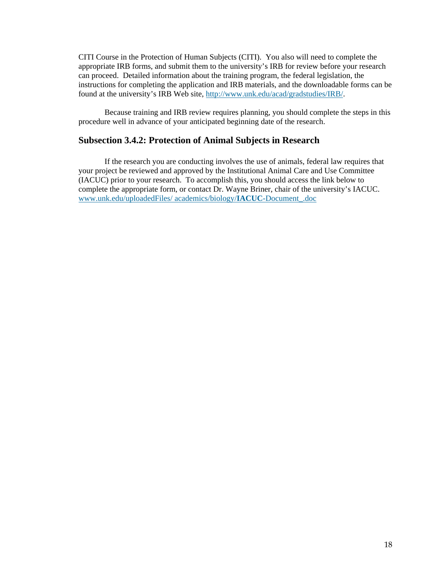CITI Course in the Protection of Human Subjects (CITI). You also will need to complete the appropriate IRB forms, and submit them to the university's IRB for review before your research can proceed. Detailed information about the training program, the federal legislation, the instructions for completing the application and IRB materials, and the downloadable forms can be found at the university's IRB Web site, http://www.unk.edu/acad/gradstudies/IRB/.

 Because training and IRB review requires planning, you should complete the steps in this procedure well in advance of your anticipated beginning date of the research.

#### **Subsection 3.4.2: Protection of Animal Subjects in Research**

If the research you are conducting involves the use of animals, federal law requires that your project be reviewed and approved by the Institutional Animal Care and Use Committee (IACUC) prior to your research. To accomplish this, you should access the link below to complete the appropriate form, or contact Dr. Wayne Briner, chair of the university's IACUC. www.unk.edu/uploadedFiles/ academics/biology/**IACUC**-Document\_.doc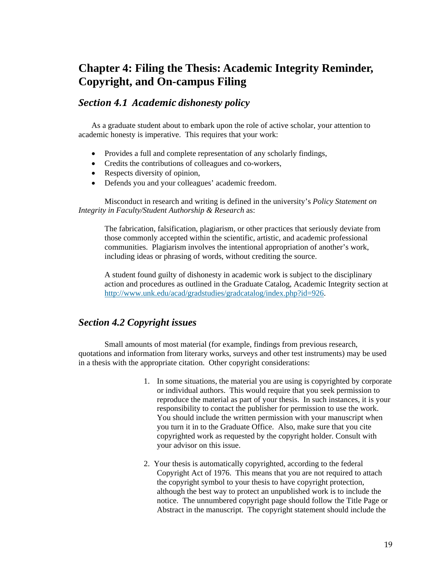## **Chapter 4: Filing the Thesis: Academic Integrity Reminder, Copyright, and On-campus Filing**

#### *Section 4.1 Academic dishonesty policy*

As a graduate student about to embark upon the role of active scholar, your attention to academic honesty is imperative. This requires that your work:

- Provides a full and complete representation of any scholarly findings,
- Credits the contributions of colleagues and co-workers,
- Respects diversity of opinion.
- Defends you and your colleagues' academic freedom.

 Misconduct in research and writing is defined in the university's *Policy Statement on Integrity in Faculty/Student Authorship & Research* as:

The fabrication, falsification, plagiarism, or other practices that seriously deviate from those commonly accepted within the scientific, artistic, and academic professional communities. Plagiarism involves the intentional appropriation of another's work, including ideas or phrasing of words, without crediting the source.

A student found guilty of dishonesty in academic work is subject to the disciplinary action and procedures as outlined in the Graduate Catalog, Academic Integrity section at http://www.unk.edu/acad/gradstudies/gradcatalog/index.php?id=926.

#### *Section 4.2 Copyright issues*

Small amounts of most material (for example, findings from previous research, quotations and information from literary works, surveys and other test instruments) may be used in a thesis with the appropriate citation. Other copyright considerations:

- 1. In some situations, the material you are using is copyrighted by corporate or individual authors. This would require that you seek permission to reproduce the material as part of your thesis. In such instances, it is your responsibility to contact the publisher for permission to use the work. You should include the written permission with your manuscript when you turn it in to the Graduate Office. Also, make sure that you cite copyrighted work as requested by the copyright holder. Consult with your advisor on this issue.
- 2. Your thesis is automatically copyrighted, according to the federal Copyright Act of 1976. This means that you are not required to attach the copyright symbol to your thesis to have copyright protection, although the best way to protect an unpublished work is to include the notice. The unnumbered copyright page should follow the Title Page or Abstract in the manuscript. The copyright statement should include the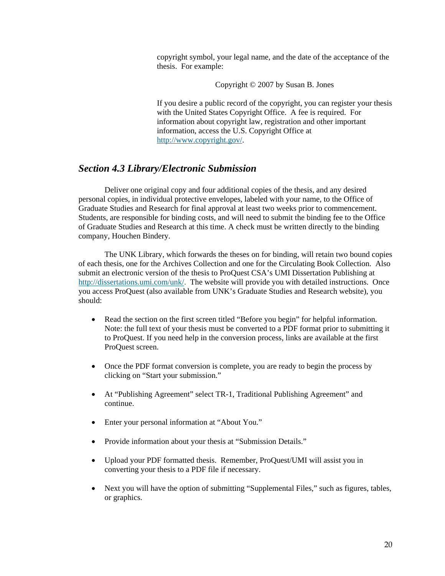copyright symbol, your legal name, and the date of the acceptance of the thesis. For example:

Copyright © 2007 by Susan B. Jones

If you desire a public record of the copyright, you can register your thesis with the United States Copyright Office. A fee is required. For information about copyright law, registration and other important information, access the U.S. Copyright Office at http://www.copyright.gov/.

#### *Section 4.3 Library/Electronic Submission*

 Deliver one original copy and four additional copies of the thesis, and any desired personal copies, in individual protective envelopes, labeled with your name, to the Office of Graduate Studies and Research for final approval at least two weeks prior to commencement. Students, are responsible for binding costs, and will need to submit the binding fee to the Office of Graduate Studies and Research at this time. A check must be written directly to the binding company, Houchen Bindery.

The UNK Library, which forwards the theses on for binding, will retain two bound copies of each thesis, one for the Archives Collection and one for the Circulating Book Collection. Also submit an electronic version of the thesis to ProQuest CSA's UMI Dissertation Publishing at http://dissertations.umi.com/unk/. The website will provide you with detailed instructions. Once you access ProQuest (also available from UNK's Graduate Studies and Research website), you should:

- Read the section on the first screen titled "Before you begin" for helpful information. Note: the full text of your thesis must be converted to a PDF format prior to submitting it to ProQuest. If you need help in the conversion process, links are available at the first ProQuest screen.
- Once the PDF format conversion is complete, you are ready to begin the process by clicking on "Start your submission."
- At "Publishing Agreement" select TR-1, Traditional Publishing Agreement" and continue.
- Enter your personal information at "About You."
- Provide information about your thesis at "Submission Details."
- Upload your PDF formatted thesis. Remember, ProQuest/UMI will assist you in converting your thesis to a PDF file if necessary.
- Next you will have the option of submitting "Supplemental Files," such as figures, tables, or graphics.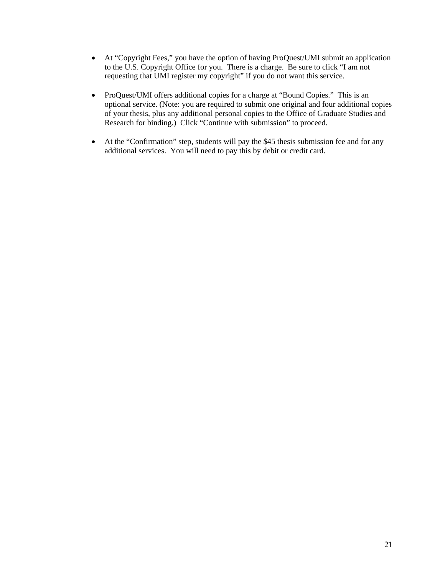- At "Copyright Fees," you have the option of having ProQuest/UMI submit an application to the U.S. Copyright Office for you. There is a charge. Be sure to click "I am not requesting that UMI register my copyright" if you do not want this service.
- ProQuest/UMI offers additional copies for a charge at "Bound Copies." This is an optional service. (Note: you are required to submit one original and four additional copies of your thesis, plus any additional personal copies to the Office of Graduate Studies and Research for binding.) Click "Continue with submission" to proceed.
- At the "Confirmation" step, students will pay the \$45 thesis submission fee and for any additional services. You will need to pay this by debit or credit card.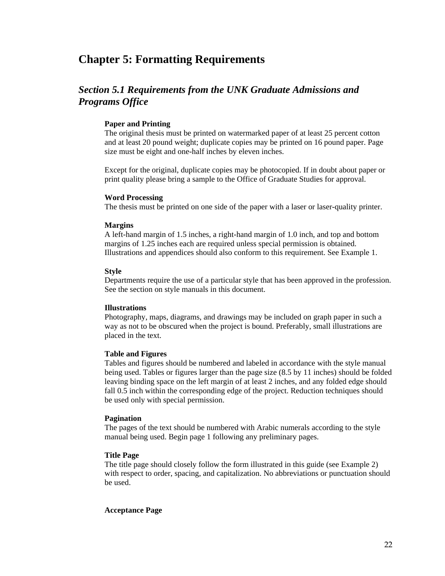## **Chapter 5: Formatting Requirements**

## *Section 5.1 Requirements from the UNK Graduate Admissions and Programs Office*

#### **Paper and Printing**

The original thesis must be printed on watermarked paper of at least 25 percent cotton and at least 20 pound weight; duplicate copies may be printed on 16 pound paper. Page size must be eight and one-half inches by eleven inches.

Except for the original, duplicate copies may be photocopied. If in doubt about paper or print quality please bring a sample to the Office of Graduate Studies for approval.

#### **Word Processing**

The thesis must be printed on one side of the paper with a laser or laser-quality printer.

#### **Margins**

A left-hand margin of 1.5 inches, a right-hand margin of 1.0 inch, and top and bottom margins of 1.25 inches each are required unless special permission is obtained. Illustrations and appendices should also conform to this requirement. See Example 1.

#### **Style**

Departments require the use of a particular style that has been approved in the profession. See the section on style manuals in this document.

#### **Illustrations**

Photography, maps, diagrams, and drawings may be included on graph paper in such a way as not to be obscured when the project is bound. Preferably, small illustrations are placed in the text.

#### **Table and Figures**

Tables and figures should be numbered and labeled in accordance with the style manual being used. Tables or figures larger than the page size (8.5 by 11 inches) should be folded leaving binding space on the left margin of at least 2 inches, and any folded edge should fall 0.5 inch within the corresponding edge of the project. Reduction techniques should be used only with special permission.

#### **Pagination**

The pages of the text should be numbered with Arabic numerals according to the style manual being used. Begin page 1 following any preliminary pages.

#### **Title Page**

The title page should closely follow the form illustrated in this guide (see Example 2) with respect to order, spacing, and capitalization. No abbreviations or punctuation should be used.

#### **Acceptance Page**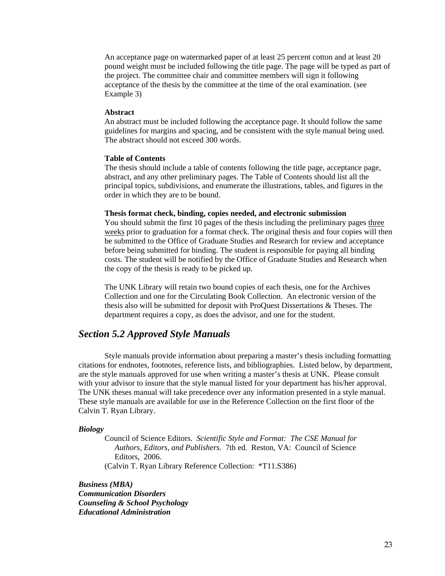An acceptance page on watermarked paper of at least 25 percent cotton and at least 20 pound weight must be included following the title page. The page will be typed as part of the project. The committee chair and committee members will sign it following acceptance of the thesis by the committee at the time of the oral examination. (see Example 3)

#### **Abstract**

An abstract must be included following the acceptance page. It should follow the same guidelines for margins and spacing, and be consistent with the style manual being used. The abstract should not exceed 300 words.

#### **Table of Contents**

The thesis should include a table of contents following the title page, acceptance page, abstract, and any other preliminary pages. The Table of Contents should list all the principal topics, subdivisions, and enumerate the illustrations, tables, and figures in the order in which they are to be bound.

#### **Thesis format check, binding, copies needed, and electronic submission**

You should submit the first 10 pages of the thesis including the preliminary pages three weeks prior to graduation for a format check. The original thesis and four copies will then be submitted to the Office of Graduate Studies and Research for review and acceptance before being submitted for binding. The student is responsible for paying all binding costs. The student will be notified by the Office of Graduate Studies and Research when the copy of the thesis is ready to be picked up.

The UNK Library will retain two bound copies of each thesis, one for the Archives Collection and one for the Circulating Book Collection. An electronic version of the thesis also will be submitted for deposit with ProQuest Dissertations & Theses. The department requires a copy, as does the advisor, and one for the student.

#### *Section 5.2 Approved Style Manuals*

Style manuals provide information about preparing a master's thesis including formatting citations for endnotes, footnotes, reference lists, and bibliographies. Listed below, by department, are the style manuals approved for use when writing a master's thesis at UNK. Please consult with your advisor to insure that the style manual listed for your department has his/her approval. The UNK theses manual will take precedence over any information presented in a style manual. These style manuals are available for use in the Reference Collection on the first floor of the Calvin T. Ryan Library.

#### *Biology*

 Council of Science Editors. *Scientific Style and Format: The CSE Manual for Authors, Editors, and Publishers.* 7th ed. Reston, VA: Council of Science Editors, 2006. (Calvin T. Ryan Library Reference Collection: \*T11.S386)

*Business (MBA) Communication Disorders Counseling & School Psychology Educational Administration*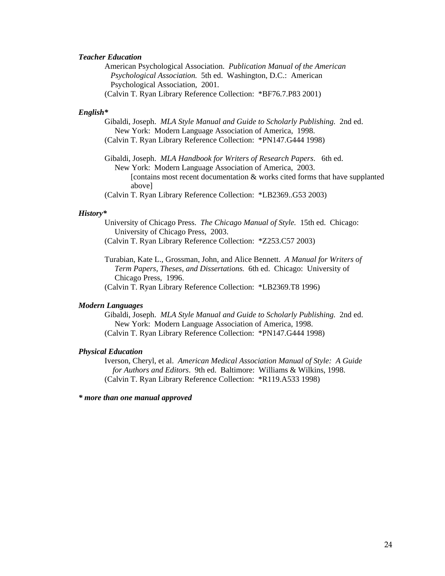#### *Teacher Education*

American Psychological Association. *Publication Manual of the American Psychological Association.* 5th ed. Washington, D.C.: American Psychological Association, 2001. (Calvin T. Ryan Library Reference Collection: \*BF76.7.P83 2001)

#### *English\**

 Gibaldi, Joseph. *MLA Style Manual and Guide to Scholarly Publishing.* 2nd ed. New York: Modern Language Association of America, 1998. (Calvin T. Ryan Library Reference Collection: \*PN147.G444 1998)

 Gibaldi, Joseph. *MLA Handbook for Writers of Research Papers*. 6th ed. New York: Modern Language Association of America, 2003. [contains most recent documentation & works cited forms that have supplanted above]

(Calvin T. Ryan Library Reference Collection: \*LB2369..G53 2003)

#### *History\**

 University of Chicago Press. *The Chicago Manual of Style.* 15th ed. Chicago: University of Chicago Press, 2003.

(Calvin T. Ryan Library Reference Collection: \*Z253.C57 2003)

 Turabian, Kate L., Grossman, John, and Alice Bennett. *A Manual for Writers of Term Papers, Theses, and Dissertations.* 6th ed. Chicago: University of Chicago Press, 1996.

(Calvin T. Ryan Library Reference Collection: \*LB2369.T8 1996)

#### *Modern Languages*

 Gibaldi, Joseph. *MLA Style Manual and Guide to Scholarly Publishing.* 2nd ed. New York: Modern Language Association of America, 1998. (Calvin T. Ryan Library Reference Collection: \*PN147.G444 1998)

#### *Physical Education*

Iverson, Cheryl, et al. *American Medical Association Manual of Style: A Guide for Authors and Editors*. 9th ed. Baltimore: Williams & Wilkins, 1998. (Calvin T. Ryan Library Reference Collection: \*R119.A533 1998)

*\* more than one manual approved*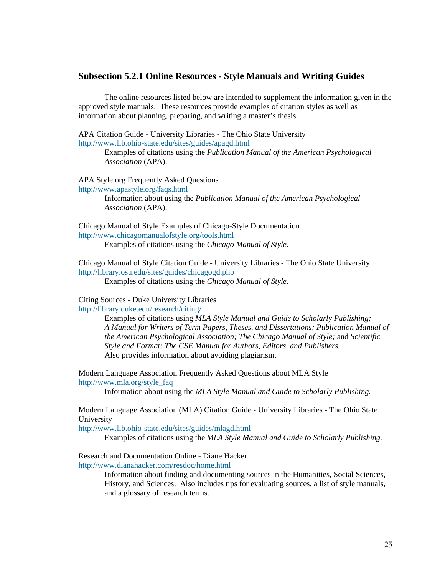#### **Subsection 5.2.1 Online Resources - Style Manuals and Writing Guides**

The online resources listed below are intended to supplement the information given in the approved style manuals. These resources provide examples of citation styles as well as information about planning, preparing, and writing a master's thesis.

APA Citation Guide - University Libraries - The Ohio State University http://www.lib.ohio-state.edu/sites/guides/apagd.html

> Examples of citations using the *Publication Manual of the American Psychological Association* (APA).

APA Style.org Frequently Asked Questions http://www.apastyle.org/faqs.html

> Information about using the *Publication Manual of the American Psychological Association* (APA).

Chicago Manual of Style Examples of Chicago-Style Documentation http://www.chicagomanualofstyle.org/tools.html

Examples of citations using the *Chicago Manual of Style.*

Chicago Manual of Style Citation Guide - University Libraries - The Ohio State University http://library.osu.edu/sites/guides/chicagogd.php Examples of citations using the *Chicago Manual of Style.* 

Citing Sources - Duke University Libraries http://library.duke.edu/research/citing/

> Examples of citations using *MLA Style Manual and Guide to Scholarly Publishing; A Manual for Writers of Term Papers, Theses, and Dissertations; Publication Manual of the American Psychological Association; The Chicago Manual of Style;* and *Scientific Style and Format: The CSE Manual for Authors, Editors, and Publishers.* Also provides information about avoiding plagiarism.

Modern Language Association Frequently Asked Questions about MLA Style http://www.mla.org/style\_faq

Information about using the *MLA Style Manual and Guide to Scholarly Publishing.*

Modern Language Association (MLA) Citation Guide - University Libraries - The Ohio State University

http://www.lib.ohio-state.edu/sites/guides/mlagd.html

Examples of citations using the *MLA Style Manual and Guide to Scholarly Publishing.* 

Research and Documentation Online - Diane Hacker http://www.dianahacker.com/resdoc/home.html

> Information about finding and documenting sources in the Humanities, Social Sciences, History, and Sciences. Also includes tips for evaluating sources, a list of style manuals, and a glossary of research terms.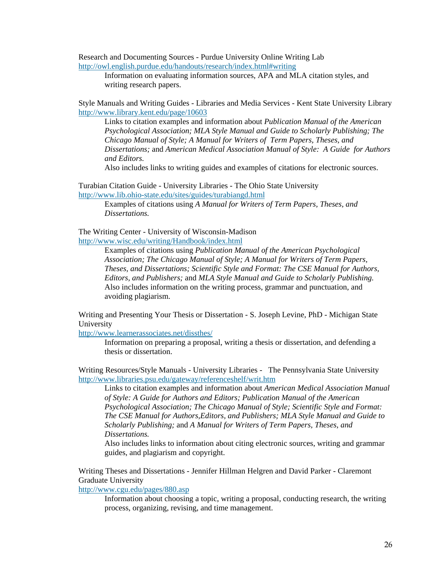Research and Documenting Sources - Purdue University Online Writing Lab http://owl.english.purdue.edu/handouts/research/index.html#writing

> Information on evaluating information sources, APA and MLA citation styles, and writing research papers.

Style Manuals and Writing Guides - Libraries and Media Services - Kent State University Library http://www.library.kent.edu/page/10603

Links to citation examples and information about *Publication Manual of the American Psychological Association; MLA Style Manual and Guide to Scholarly Publishing; The Chicago Manual of Style; A Manual for Writers of Term Papers, Theses, and Dissertations;* and *American Medical Association Manual of Style: A Guide for Authors and Editors.*

Also includes links to writing guides and examples of citations for electronic sources.

Turabian Citation Guide - University Libraries - The Ohio State University http://www.lib.ohio-state.edu/sites/guides/turabiangd.html

> Examples of citations using *A Manual for Writers of Term Papers, Theses, and Dissertations.*

The Writing Center - University of Wisconsin-Madison http://www.wisc.edu/writing/Handbook/index.html

Examples of citations using *Publication Manual of the American Psychological Association; The Chicago Manual of Style; A Manual for Writers of Term Papers, Theses, and Dissertations; Scientific Style and Format: The CSE Manual for Authors, Editors, and Publishers;* and *MLA Style Manual and Guide to Scholarly Publishing.* Also includes information on the writing process, grammar and punctuation, and avoiding plagiarism.

Writing and Presenting Your Thesis or Dissertation - S. Joseph Levine, PhD - Michigan State University

http://www.learnerassociates.net/dissthes/

Information on preparing a proposal, writing a thesis or dissertation, and defending a thesis or dissertation.

Writing Resources/Style Manuals - University Libraries - The Pennsylvania State University http://www.libraries.psu.edu/gateway/referenceshelf/writ.htm

Links to citation examples and information about *American Medical Association Manual of Style: A Guide for Authors and Editors; Publication Manual of the American Psychological Association; The Chicago Manual of Style; Scientific Style and Format: The CSE Manual for Authors,Editors, and Publishers; MLA Style Manual and Guide to Scholarly Publishing;* and *A Manual for Writers of Term Papers, Theses, and Dissertations.* 

Also includes links to information about citing electronic sources, writing and grammar guides, and plagiarism and copyright.

Writing Theses and Dissertations - Jennifer Hillman Helgren and David Parker - Claremont Graduate University

http://www.cgu.edu/pages/880.asp

Information about choosing a topic, writing a proposal, conducting research, the writing process, organizing, revising, and time management.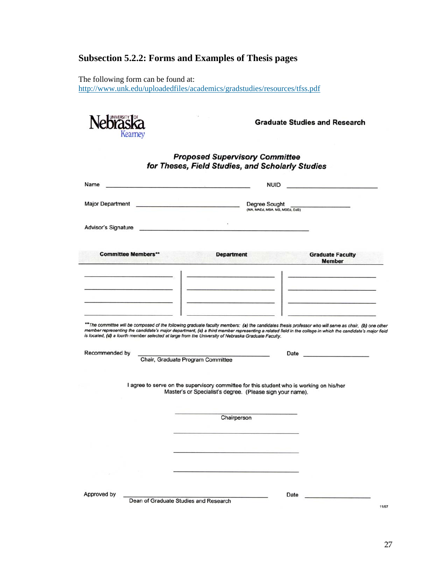## **Subsection 5.2.2: Forms and Examples of Thesis pages**

The following form can be found at: http://www.unk.edu/uploadedfiles/academics/gradstudies/resources/tfss.pdf

S).



**Graduate Studies and Research** 

#### **Proposed Supervisory Committee** for Theses, Field Studies, and Scholarly Studies

|                                                                                                                                                                                                                                      | and the control of the control of the control of the control of the control of<br><b>NUID</b><br>the company of the company of the company of                                                                                                                                                                       |  |
|--------------------------------------------------------------------------------------------------------------------------------------------------------------------------------------------------------------------------------------|---------------------------------------------------------------------------------------------------------------------------------------------------------------------------------------------------------------------------------------------------------------------------------------------------------------------|--|
| Major Department <b>Executive Contract Contract Contract Contract Contract Contract Contract Contract Contract Contract Contract Contract Contract Contract Contract Contract Contract Contract Contract Contract Contract Contr</b> | <b>Degree Sought</b><br>– − <sub>9</sub> , ∪⊌ ∪UUGITI<br>(MA, MAEd, MBA, MS, MSEd, EdS)                                                                                                                                                                                                                             |  |
| Advisor's Signature                                                                                                                                                                                                                  |                                                                                                                                                                                                                                                                                                                     |  |
| <b>Committee Members**</b>                                                                                                                                                                                                           | <b>Department</b><br><b>Graduate Faculty</b><br><b>Member</b>                                                                                                                                                                                                                                                       |  |
|                                                                                                                                                                                                                                      | <u> 1980 - Jan James John Stone (</u> † 1980)                                                                                                                                                                                                                                                                       |  |
|                                                                                                                                                                                                                                      |                                                                                                                                                                                                                                                                                                                     |  |
|                                                                                                                                                                                                                                      | **The committee will be composed of the following graduate faculty members: (a) the candidates thesis professor who will serve as chair, (b) one other<br>member representing the candidate's major department, (c) a third member representing a related field in the college in which the candidate's major field |  |
|                                                                                                                                                                                                                                      | is located, (d) a fourth member selected at large from the University of Nebraska Graduate Faculty.                                                                                                                                                                                                                 |  |
|                                                                                                                                                                                                                                      |                                                                                                                                                                                                                                                                                                                     |  |
|                                                                                                                                                                                                                                      | Chair, Graduate Program Committee                                                                                                                                                                                                                                                                                   |  |
|                                                                                                                                                                                                                                      | I agree to serve on the supervisory committee for this student who is working on his/her<br>Master's or Specialist's degree. (Please sign your name).                                                                                                                                                               |  |
|                                                                                                                                                                                                                                      | Chairperson                                                                                                                                                                                                                                                                                                         |  |
|                                                                                                                                                                                                                                      |                                                                                                                                                                                                                                                                                                                     |  |
|                                                                                                                                                                                                                                      |                                                                                                                                                                                                                                                                                                                     |  |
| Recommended by                                                                                                                                                                                                                       |                                                                                                                                                                                                                                                                                                                     |  |

11/07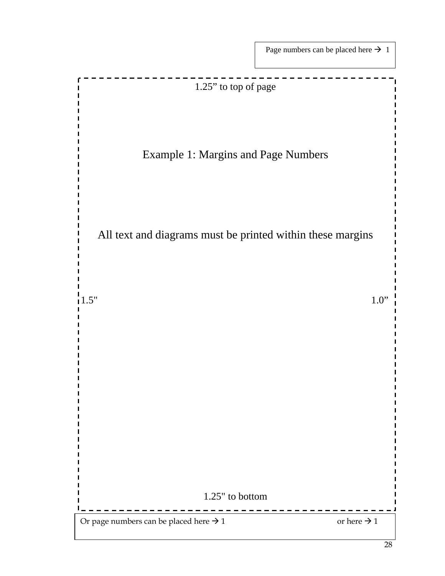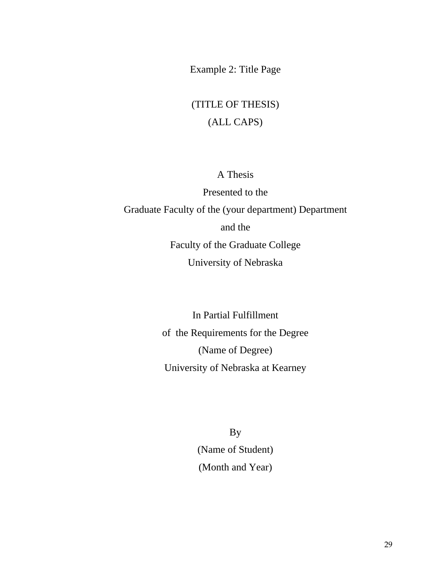Example 2: Title Page

## (TITLE OF THESIS) (ALL CAPS)

## A Thesis

Presented to the Graduate Faculty of the (your department) Department and the Faculty of the Graduate College University of Nebraska

> In Partial Fulfillment of the Requirements for the Degree (Name of Degree) University of Nebraska at Kearney

> > By (Name of Student) (Month and Year)